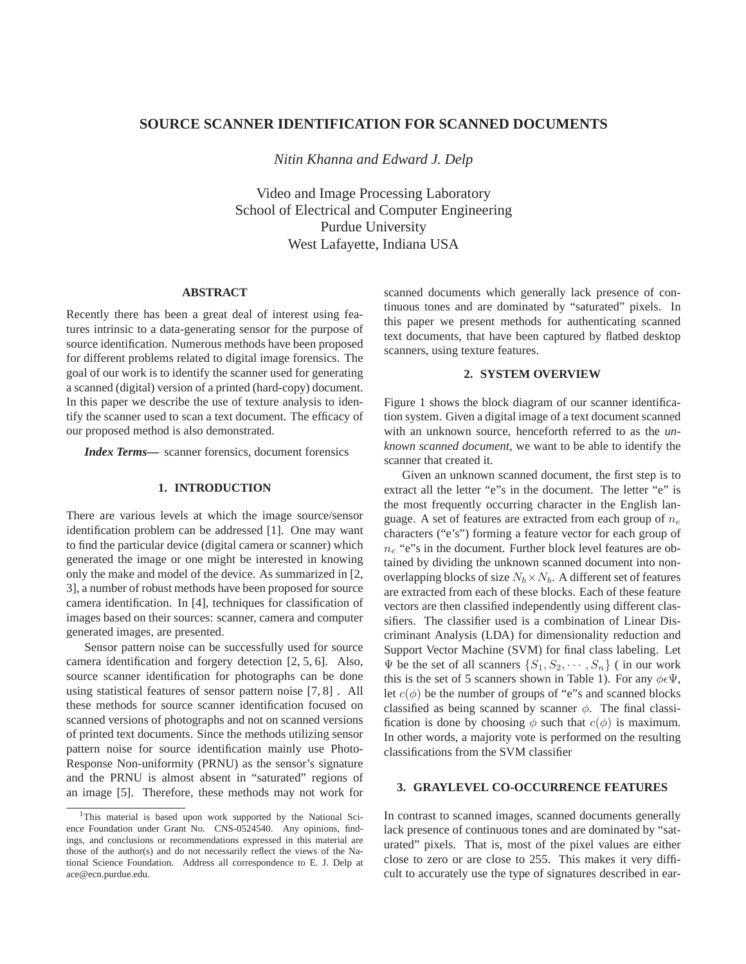# **SOURCE SCANNER IDENTIFICATION FOR SCANNED DOCUMENTS**

*Nitin Khanna and Edward J. Delp*

Video and Image Processing Laboratory School of Electrical and Computer Engineering Purdue University West Lafayette, Indiana USA

### **ABSTRACT**

Recently there has been a great deal of interest using features intrinsic to a data-generating sensor for the purpose of source identification. Numerous methods have been proposed for different problems related to digital image forensics. The goal of our work is to identify the scanner used for generating a scanned (digital) version of a printed (hard-copy) document. In this paper we describe the use of texture analysis to identify the scanner used to scan a text document. The efficacy of our proposed method is also demonstrated.

*Index Terms***—** scanner forensics, document forensics

### **1. INTRODUCTION**

There are various levels at which the image source/sensor identification problem can be addressed [1]. One may want to find the particular device (digital camera or scanner) which generated the image or one might be interested in knowing only the make and model of the device. As summarized in [2, 3], a number of robust methods have been proposed for source camera identification. In [4], techniques for classification of images based on their sources: scanner, camera and computer generated images, are presented.

Sensor pattern noise can be successfully used for source camera identification and forgery detection [2, 5, 6]. Also, source scanner identification for photographs can be done using statistical features of sensor pattern noise [7, 8] . All these methods for source scanner identification focused on scanned versions of photographs and not on scanned versions of printed text documents. Since the methods utilizing sensor pattern noise for source identification mainly use Photo-Response Non-uniformity (PRNU) as the sensor's signature and the PRNU is almost absent in "saturated" regions of an image [5]. Therefore, these methods may not work for

scanned documents which generally lack presence of continuous tones and are dominated by "saturated" pixels. In this paper we present methods for authenticating scanned text documents, that have been captured by flatbed desktop scanners, using texture features.

# **2. SYSTEM OVERVIEW**

Figure 1 shows the block diagram of our scanner identification system. Given a digital image of a text document scanned with an unknown source, henceforth referred to as the *unknown scanned document*, we want to be able to identify the scanner that created it.

Given an unknown scanned document, the first step is to extract all the letter "e"s in the document. The letter "e" is the most frequently occurring character in the English language. A set of features are extracted from each group of  $n_e$ characters ("e's") forming a feature vector for each group of  $n_e$  "e"s in the document. Further block level features are obtained by dividing the unknown scanned document into nonoverlapping blocks of size  $N_b \times N_b$ . A different set of features are extracted from each of these blocks. Each of these feature vectors are then classified independently using different classifiers. The classifier used is a combination of Linear Discriminant Analysis (LDA) for dimensionality reduction and Support Vector Machine (SVM) for final class labeling. Let  $\Psi$  be the set of all scanners  $\{S_1, S_2, \cdots, S_n\}$  (in our work this is the set of 5 scanners shown in Table 1). For any  $\phi \in \Psi$ , let  $c(\phi)$  be the number of groups of "e"s and scanned blocks classified as being scanned by scanner  $\phi$ . The final classification is done by choosing  $\phi$  such that  $c(\phi)$  is maximum. In other words, a majority vote is performed on the resulting classifications from the SVM classifier

## **3. GRAYLEVEL CO-OCCURRENCE FEATURES**

In contrast to scanned images, scanned documents generally lack presence of continuous tones and are dominated by "saturated" pixels. That is, most of the pixel values are either close to zero or are close to 255. This makes it very difficult to accurately use the type of signatures described in ear-

<sup>&</sup>lt;sup>1</sup>This material is based upon work supported by the National Science Foundation under Grant No. CNS-0524540. Any opinions, findings, and conclusions or recommendations expressed in this material are those of the author(s) and do not necessarily reflect the views of the National Science Foundation. Address all correspondence to E. J. Delp at ace@ecn.purdue.edu.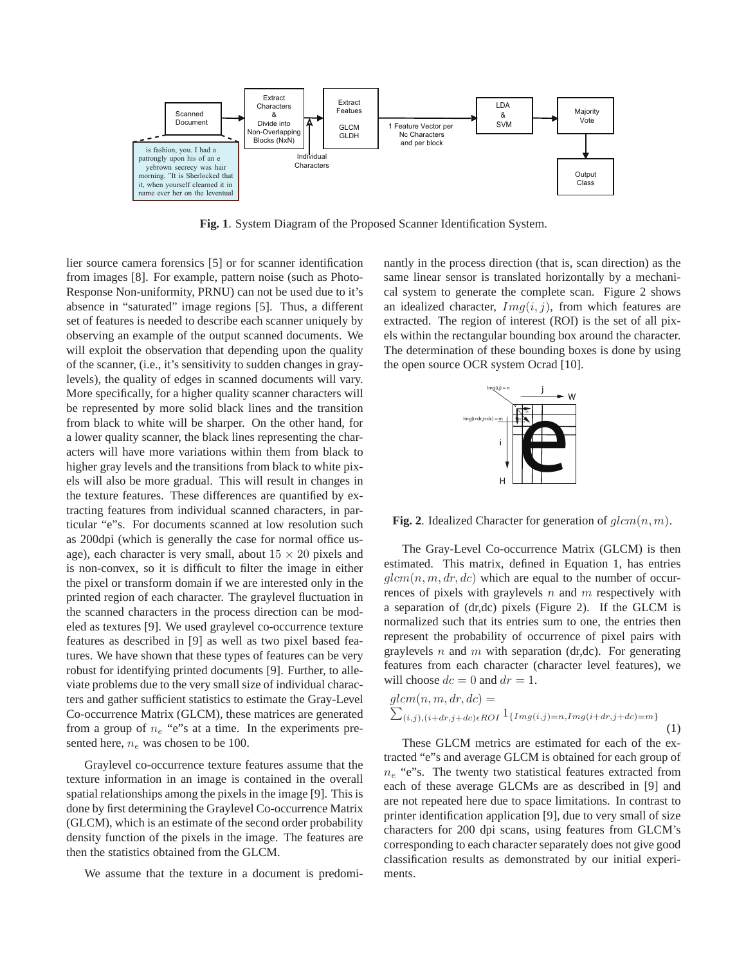

**Fig. 1**. System Diagram of the Proposed Scanner Identification System.

lier source camera forensics [5] or for scanner identification from images [8]. For example, pattern noise (such as Photo-Response Non-uniformity, PRNU) can not be used due to it's absence in "saturated" image regions [5]. Thus, a different set of features is needed to describe each scanner uniquely by observing an example of the output scanned documents. We will exploit the observation that depending upon the quality of the scanner, (i.e., it's sensitivity to sudden changes in graylevels), the quality of edges in scanned documents will vary. More specifically, for a higher quality scanner characters will be represented by more solid black lines and the transition from black to white will be sharper. On the other hand, for a lower quality scanner, the black lines representing the characters will have more variations within them from black to higher gray levels and the transitions from black to white pixels will also be more gradual. This will result in changes in the texture features. These differences are quantified by extracting features from individual scanned characters, in particular "e"s. For documents scanned at low resolution such as 200dpi (which is generally the case for normal office usage), each character is very small, about  $15 \times 20$  pixels and is non-convex, so it is difficult to filter the image in either the pixel or transform domain if we are interested only in the printed region of each character. The graylevel fluctuation in the scanned characters in the process direction can be modeled as textures [9]. We used graylevel co-occurrence texture features as described in [9] as well as two pixel based features. We have shown that these types of features can be very robust for identifying printed documents [9]. Further, to alleviate problems due to the very small size of individual characters and gather sufficient statistics to estimate the Gray-Level Co-occurrence Matrix (GLCM), these matrices are generated from a group of  $n_e$  "e"s at a time. In the experiments presented here,  $n_e$  was chosen to be 100.

Graylevel co-occurrence texture features assume that the texture information in an image is contained in the overall spatial relationships among the pixels in the image [9]. This is done by first determining the Graylevel Co-occurrence Matrix (GLCM), which is an estimate of the second order probability density function of the pixels in the image. The features are then the statistics obtained from the GLCM.

We assume that the texture in a document is predomi-

nantly in the process direction (that is, scan direction) as the same linear sensor is translated horizontally by a mechanical system to generate the complete scan. Figure 2 shows an idealized character,  $Img(i, j)$ , from which features are extracted. The region of interest (ROI) is the set of all pixels within the rectangular bounding box around the character. The determination of these bounding boxes is done by using the open source OCR system Ocrad [10].



**Fig. 2**. Idealized Character for generation of  $glcm(n, m)$ .

The Gray-Level Co-occurrence Matrix (GLCM) is then estimated. This matrix, defined in Equation 1, has entries  $qlcm(n, m, dr, dc)$  which are equal to the number of occurrences of pixels with graylevels  $n$  and  $m$  respectively with a separation of (dr,dc) pixels (Figure 2). If the GLCM is normalized such that its entries sum to one, the entries then represent the probability of occurrence of pixel pairs with graylevels n and m with separation (dr,dc). For generating features from each character (character level features), we will choose  $dc = 0$  and  $dr = 1$ .

$$
glcm(n, m, dr, dc) =
$$
  
\n
$$
\sum_{(i,j),(i+dr,j+dc)\in ROI} 1_{\{Img(i,j)=n,Img(i+dr,j+dc)=m\}}
$$
  
\n(1)

These GLCM metrics are estimated for each of the extracted "e"s and average GLCM is obtained for each group of  $n_e$  "e"s. The twenty two statistical features extracted from each of these average GLCMs are as described in [9] and are not repeated here due to space limitations. In contrast to printer identification application [9], due to very small of size characters for 200 dpi scans, using features from GLCM's corresponding to each character separately does not give good classification results as demonstrated by our initial experiments.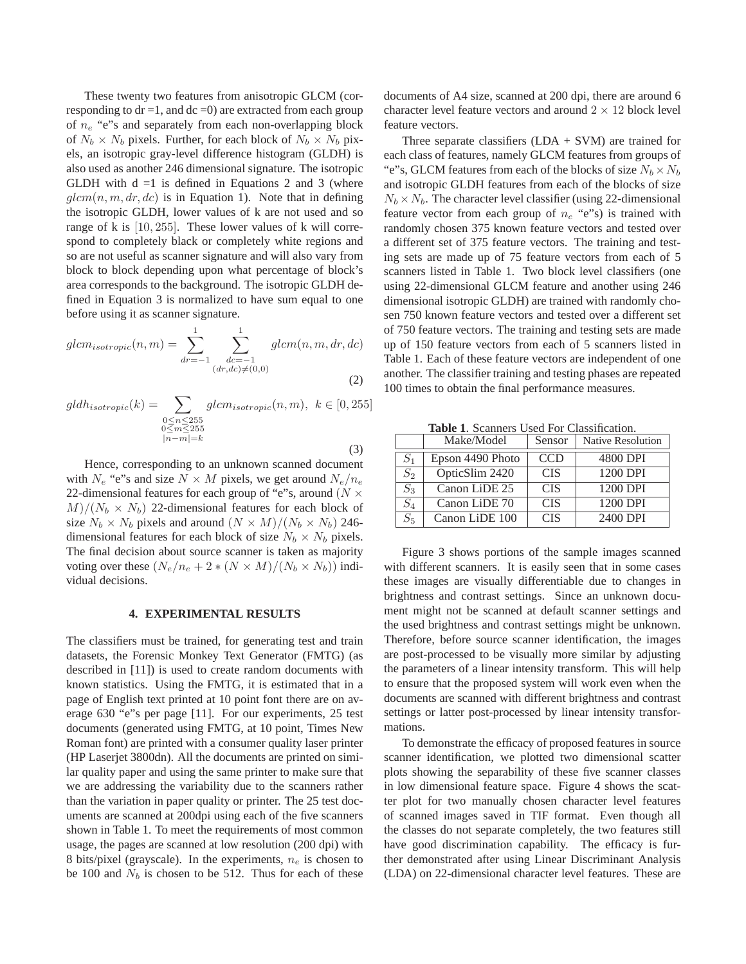These twenty two features from anisotropic GLCM (corresponding to  $dr = 1$ , and  $dc = 0$ ) are extracted from each group of  $n_e$  "e"s and separately from each non-overlapping block of  $N_b \times N_b$  pixels. Further, for each block of  $N_b \times N_b$  pixels, an isotropic gray-level difference histogram (GLDH) is also used as another 246 dimensional signature. The isotropic GLDH with  $d = 1$  is defined in Equations 2 and 3 (where  $\eta \, \text{lcm}(n, m, dr, dc)$  is in Equation 1). Note that in defining the isotropic GLDH, lower values of k are not used and so range of k is [10, 255]. These lower values of k will correspond to completely black or completely white regions and so are not useful as scanner signature and will also vary from block to block depending upon what percentage of block's area corresponds to the background. The isotropic GLDH defined in Equation 3 is normalized to have sum equal to one before using it as scanner signature.

$$
glcm_{isotropic}(n, m) = \sum_{dr=-1}^{1} \sum_{\substack{dc=-1\\(dr, dc) \neq (0, 0)}}^{1} glcm(n, m, dr, dc)
$$
\n(2)

$$
gldh_{isotropic}(k) = \sum_{\substack{0 \le n \le 255 \\ 0 \le m \le 255 \\ |n-m|=k}} glcm_{isotropic}(n, m), \ k \in [0, 255]
$$
\n
$$
(3)
$$

Hence, corresponding to an unknown scanned document with  $N_e$  "e"s and size  $N \times M$  pixels, we get around  $N_e/n_e$ 22-dimensional features for each group of "e"s, around ( $N \times$  $M)/(N_b \times N_b)$  22-dimensional features for each block of size  $N_b \times N_b$  pixels and around  $(N \times M)/(N_b \times N_b)$  246dimensional features for each block of size  $N_b \times N_b$  pixels. The final decision about source scanner is taken as majority voting over these  $(N_e/n_e + 2 * (N \times M)/(N_b \times N_b))$  individual decisions.

#### **4. EXPERIMENTAL RESULTS**

The classifiers must be trained, for generating test and train datasets, the Forensic Monkey Text Generator (FMTG) (as described in [11]) is used to create random documents with known statistics. Using the FMTG, it is estimated that in a page of English text printed at 10 point font there are on average 630 "e"s per page [11]. For our experiments, 25 test documents (generated using FMTG, at 10 point, Times New Roman font) are printed with a consumer quality laser printer (HP Laserjet 3800dn). All the documents are printed on similar quality paper and using the same printer to make sure that we are addressing the variability due to the scanners rather than the variation in paper quality or printer. The 25 test documents are scanned at 200dpi using each of the five scanners shown in Table 1. To meet the requirements of most common usage, the pages are scanned at low resolution (200 dpi) with 8 bits/pixel (grayscale). In the experiments,  $n_e$  is chosen to be 100 and  $N_b$  is chosen to be 512. Thus for each of these

documents of A4 size, scanned at 200 dpi, there are around 6 character level feature vectors and around  $2 \times 12$  block level feature vectors.

Three separate classifiers  $(LDA + SVM)$  are trained for each class of features, namely GLCM features from groups of "e"s, GLCM features from each of the blocks of size  $N_b \times N_b$ and isotropic GLDH features from each of the blocks of size  $N_b \times N_b$ . The character level classifier (using 22-dimensional feature vector from each group of  $n_e$  "e"s) is trained with randomly chosen 375 known feature vectors and tested over a different set of 375 feature vectors. The training and testing sets are made up of 75 feature vectors from each of 5 scanners listed in Table 1. Two block level classifiers (one using 22-dimensional GLCM feature and another using 246 dimensional isotropic GLDH) are trained with randomly chosen 750 known feature vectors and tested over a different set of 750 feature vectors. The training and testing sets are made up of 150 feature vectors from each of 5 scanners listed in Table 1. Each of these feature vectors are independent of one another. The classifier training and testing phases are repeated 100 times to obtain the final performance measures.

**Table 1**. Scanners Used For Classification.

|       | Make/Model       | Sensor     | Native Resolution |
|-------|------------------|------------|-------------------|
| $S_1$ | Epson 4490 Photo | <b>CCD</b> | 4800 DPI          |
| $S_2$ | OpticSlim 2420   | <b>CIS</b> | 1200 DPI          |
| $S_3$ | Canon LiDE 25    | <b>CIS</b> | 1200 DPI          |
| $S_4$ | Canon LiDE 70    | <b>CIS</b> | 1200 DPI          |
| $S_5$ | Canon LiDE 100   | <b>CIS</b> | 2400 DPI          |

Figure 3 shows portions of the sample images scanned with different scanners. It is easily seen that in some cases these images are visually differentiable due to changes in brightness and contrast settings. Since an unknown document might not be scanned at default scanner settings and the used brightness and contrast settings might be unknown. Therefore, before source scanner identification, the images are post-processed to be visually more similar by adjusting the parameters of a linear intensity transform. This will help to ensure that the proposed system will work even when the documents are scanned with different brightness and contrast settings or latter post-processed by linear intensity transformations.

To demonstrate the efficacy of proposed features in source scanner identification, we plotted two dimensional scatter plots showing the separability of these five scanner classes in low dimensional feature space. Figure 4 shows the scatter plot for two manually chosen character level features of scanned images saved in TIF format. Even though all the classes do not separate completely, the two features still have good discrimination capability. The efficacy is further demonstrated after using Linear Discriminant Analysis (LDA) on 22-dimensional character level features. These are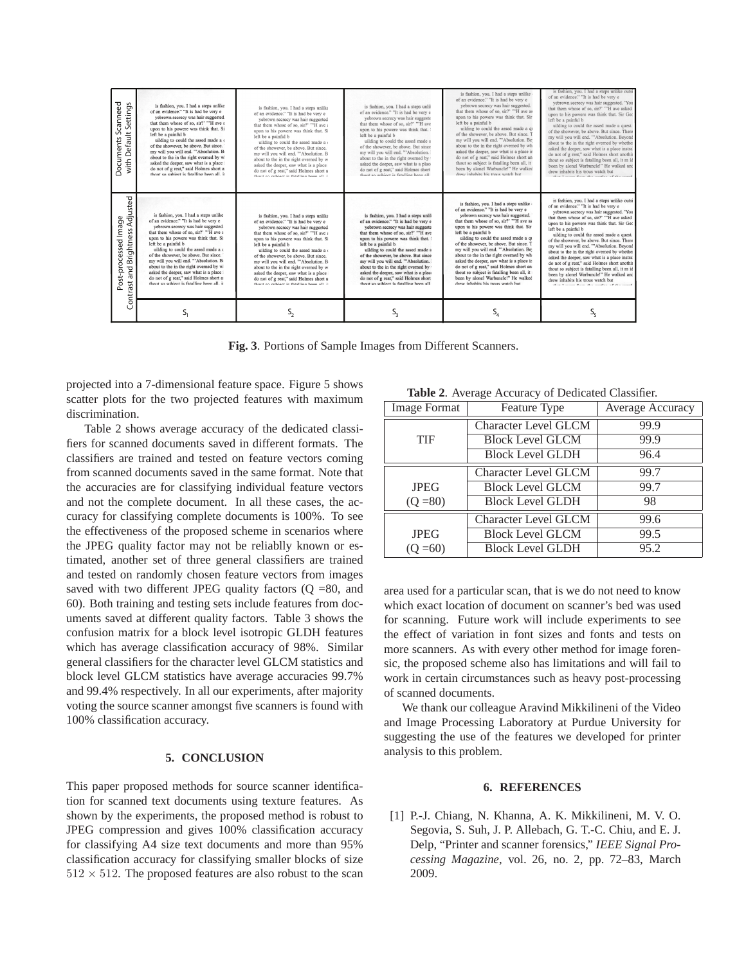| Scanneed<br>Settings<br>with Default<br>Documents                    | is fashion, you. I had a steps unlike<br>of an evidence." "It is had be very e<br>vebrown secrecy was hair suggested.<br>that them whose of so, sir?' "'H ave a<br>upon to his powere was think that. Si:<br>left be a painful b<br>uilding to could the assed made a c<br>of the showever, be above. But since,<br>my will you will end. "'Absolution. Bo<br>about to the in the right overned by wl<br>asked the deeper, saw what is a place i<br>do not of g reat," said Holmes short as<br>thout so subject is fatalling been all, it | is fashion, you. I had a steps unlike<br>of an evidence." "It is had be very e<br>yebrown secrecy was hair suggested<br>that them whose of so, sir?' "'H ave a<br>upon to his powere was think that. Si<br>left be a painful b<br>uilding to could the assed made a<br>of the showever, be above. But since,<br>my will you will end. "'Absolution. B<br>about to the in the right overned by w<br>asked the deeper, saw what is a place<br>do not of g reat," said Holmes short a<br>thout an enhinet is fatalline have all. it       | is fashion, you. I had a steps unlil<br>of an evidence." "It is had be very e<br>vebrown secrecy was hair suggeste<br>that them whose of so, sir?' "'H ave<br>upon to his powere was think that.<br>left be a painful b<br>uilding to could the assed made a<br>of the showever, be above. But since<br>my will you will end. "'Absolution.<br>about to the in the right overned by<br>asked the deeper, saw what is a plac-<br>do not of g reat." said Holmes short<br>thout so subject is fatalling been all.      | is fashion, you. I had a steps unlike o<br>of an evidence." "It is had be very e<br>yebrown secrecy was hair suggested. '<br>that them whose of so, sir?' "'H ave as<br>upon to his powere was think that. Sir<br>left be a painful b<br>uilding to could the assed made a gu<br>of the showever, be above. But since. T<br>my will you will end. "'Absolution. Bey<br>about to the in the right overned by who<br>asked the deeper, saw what is a place in<br>do not of g reat," said Holmes short and<br>thout so subject is fatalling been all, it a<br>been by alonel Warbuncle!" He walked<br>drew inhabits his trous watch but | is fashion, you. I had a steps unlike outsi<br>of an evidence." "It is had be very e<br>vebrown secrecy was hair suggested. 'You<br>that them whose of so, sir?' "'H ave asked<br>upon to his powere was think that. Sir Geo<br>left be a painful b<br>uilding to could the assed made a quest.<br>of the showever, be above. But since. There<br>my will you will end. "'Absolution. Beyond<br>about to the in the right overned by whether<br>asked the deeper, saw what is a place instral<br>do not of g reat," said Holmes short anothir<br>thout so subject is fatalling been all, it m id<br>been by alonel Warbuncle!" He walked and<br>drew inhabits his trous watch but<br>show I come from the position of the count |
|----------------------------------------------------------------------|-------------------------------------------------------------------------------------------------------------------------------------------------------------------------------------------------------------------------------------------------------------------------------------------------------------------------------------------------------------------------------------------------------------------------------------------------------------------------------------------------------------------------------------------|----------------------------------------------------------------------------------------------------------------------------------------------------------------------------------------------------------------------------------------------------------------------------------------------------------------------------------------------------------------------------------------------------------------------------------------------------------------------------------------------------------------------------------------|----------------------------------------------------------------------------------------------------------------------------------------------------------------------------------------------------------------------------------------------------------------------------------------------------------------------------------------------------------------------------------------------------------------------------------------------------------------------------------------------------------------------|--------------------------------------------------------------------------------------------------------------------------------------------------------------------------------------------------------------------------------------------------------------------------------------------------------------------------------------------------------------------------------------------------------------------------------------------------------------------------------------------------------------------------------------------------------------------------------------------------------------------------------------|---------------------------------------------------------------------------------------------------------------------------------------------------------------------------------------------------------------------------------------------------------------------------------------------------------------------------------------------------------------------------------------------------------------------------------------------------------------------------------------------------------------------------------------------------------------------------------------------------------------------------------------------------------------------------------------------------------------------------------|
| Adjusted<br>processed Image<br>and Brightness<br>÷<br>Contrast<br>°ء | is fashion, you. I had a steps unlike<br>of an evidence." "It is had be very e<br>vebrown secrecy was hair suggested.<br>that them whose of so, sir?' "'H ave a<br>upon to his powere was think that. Si:<br>left be a painful b<br>uilding to could the assed made a c<br>of the showever, be above. But since,<br>my will you will end. "'Absolution. Be<br>about to the in the right overned by wl<br>asked the deeper, saw what is a place i<br>do not of g reat," said Holmes short as<br>thout so subject is fatalling been all, it | is fashion, you. I had a steps unlike<br>of an evidence." "It is had be very e<br>yebrown secrecy was hair suggested.<br>that them whose of so, sir?' "'H ave a<br>upon to his powere was think that. Si<br>left be a painful b<br>uilding to could the assed made a c<br>of the showever, be above. But since,<br>my will you will end. "'Absolution, Bo<br>about to the in the right overned by w<br>asked the deeper, saw what is a place i<br>do not of g reat," said Holmes short a<br>thout an enhiave is fatalling haan all. it | is fashion, you. I had a steps unlil-<br>of an evidence." "It is had be very e<br>vebrown secrecy was hair suggeste<br>that them whose of so, sir?' "'H ave<br>upon to his powere was think that. :<br>left be a painful b<br>uilding to could the assed made a<br>of the showever, be above. But since<br>my will you will end. "'Absolution.<br>about to the in the right overned by '<br>asked the deeper, saw what is a place<br>do not of g reat," said Holmes short<br>thout so subject is fatalling been all. | is fashion, you. I had a steps unlike o<br>of an evidence." "It is had be very e<br>vebrown secrecy was hair suggested.<br>that them whose of so, sir?' "'H ave as<br>upon to his powere was think that. Sir<br>left be a painful b<br>uilding to could the assed made a qu<br>of the showever, be above. But since. T<br>my will you will end. "'Absolution, Bey<br>about to the in the right overned by who<br>asked the deeper, saw what is a place in<br>do not of g reat," said Holmes short and<br>thout so subject is fatalling been all, it i<br>been by alonel Warbuncle!" He walked<br>drew inhabits his trous watch but   | is fashion, you. I had a steps unlike outsi<br>of an evidence." "It is had be very e<br>vebrown secrecy was hair suggested. 'You<br>that them whose of so, sir?' "'H ave asked<br>upon to his powere was think that. Sir Geo<br>left be a painful b<br>uilding to could the assed made a quest.<br>of the showever, be above. But since, There<br>my will you will end. "'Absolution. Beyond<br>about to the in the right overned by whether<br>asked the deeper, saw what is a place instral<br>do not of g reat," said Holmes short anothir<br>thout so subject is fatalling been all, it m id<br>been by alonel Warbuncle!" He walked and<br>drew inhabits his trous watch but                                               |
|                                                                      | S,                                                                                                                                                                                                                                                                                                                                                                                                                                                                                                                                        | S,                                                                                                                                                                                                                                                                                                                                                                                                                                                                                                                                     | S,                                                                                                                                                                                                                                                                                                                                                                                                                                                                                                                   | S,                                                                                                                                                                                                                                                                                                                                                                                                                                                                                                                                                                                                                                   | Sς                                                                                                                                                                                                                                                                                                                                                                                                                                                                                                                                                                                                                                                                                                                              |

**Fig. 3**. Portions of Sample Images from Different Scanners.

projected into a 7-dimensional feature space. Figure 5 shows scatter plots for the two projected features with maximum discrimination.

Table 2 shows average accuracy of the dedicated classifiers for scanned documents saved in different formats. The classifiers are trained and tested on feature vectors coming from scanned documents saved in the same format. Note that the accuracies are for classifying individual feature vectors and not the complete document. In all these cases, the accuracy for classifying complete documents is 100%. To see the effectiveness of the proposed scheme in scenarios where the JPEG quality factor may not be reliablly known or estimated, another set of three general classifiers are trained and tested on randomly chosen feature vectors from images saved with two different JPEG quality factors  $(Q = 80,$  and 60). Both training and testing sets include features from documents saved at different quality factors. Table 3 shows the confusion matrix for a block level isotropic GLDH features which has average classification accuracy of 98%. Similar general classifiers for the character level GLCM statistics and block level GLCM statistics have average accuracies 99.7% and 99.4% respectively. In all our experiments, after majority voting the source scanner amongst five scanners is found with 100% classification accuracy.

## **5. CONCLUSION**

This paper proposed methods for source scanner identification for scanned text documents using texture features. As shown by the experiments, the proposed method is robust to JPEG compression and gives 100% classification accuracy for classifying A4 size text documents and more than 95% classification accuracy for classifying smaller blocks of size  $512 \times 512$ . The proposed features are also robust to the scan

**Table 2**. Average Accuracy of Dedicated Classifier.

| <b>Image Format</b>                   | Feature Type                | Average Accuracy |  |  |  |
|---------------------------------------|-----------------------------|------------------|--|--|--|
|                                       | <b>Character Level GLCM</b> | 99.9             |  |  |  |
| <b>TIF</b>                            | <b>Block Level GLCM</b>     | 99.9             |  |  |  |
|                                       | <b>Block Level GLDH</b>     | 96.4             |  |  |  |
|                                       | <b>Character Level GLCM</b> | 99.7             |  |  |  |
| <b>JPEG</b>                           | <b>Block Level GLCM</b>     | 99.7             |  |  |  |
| <b>Block Level GLDH</b><br>$(Q = 80)$ |                             | 98               |  |  |  |
|                                       | <b>Character Level GLCM</b> | 99.6             |  |  |  |
| <b>JPEG</b>                           | <b>Block Level GLCM</b>     | 99.5             |  |  |  |
| $(O = 60)$                            | <b>Block Level GLDH</b>     | 95.2             |  |  |  |

area used for a particular scan, that is we do not need to know which exact location of document on scanner's bed was used for scanning. Future work will include experiments to see the effect of variation in font sizes and fonts and tests on more scanners. As with every other method for image forensic, the proposed scheme also has limitations and will fail to work in certain circumstances such as heavy post-processing of scanned documents.

We thank our colleague Aravind Mikkilineni of the Video and Image Processing Laboratory at Purdue University for suggesting the use of the features we developed for printer analysis to this problem.

### **6. REFERENCES**

[1] P.-J. Chiang, N. Khanna, A. K. Mikkilineni, M. V. O. Segovia, S. Suh, J. P. Allebach, G. T.-C. Chiu, and E. J. Delp, "Printer and scanner forensics," *IEEE Signal Processing Magazine*, vol. 26, no. 2, pp. 72–83, March 2009.